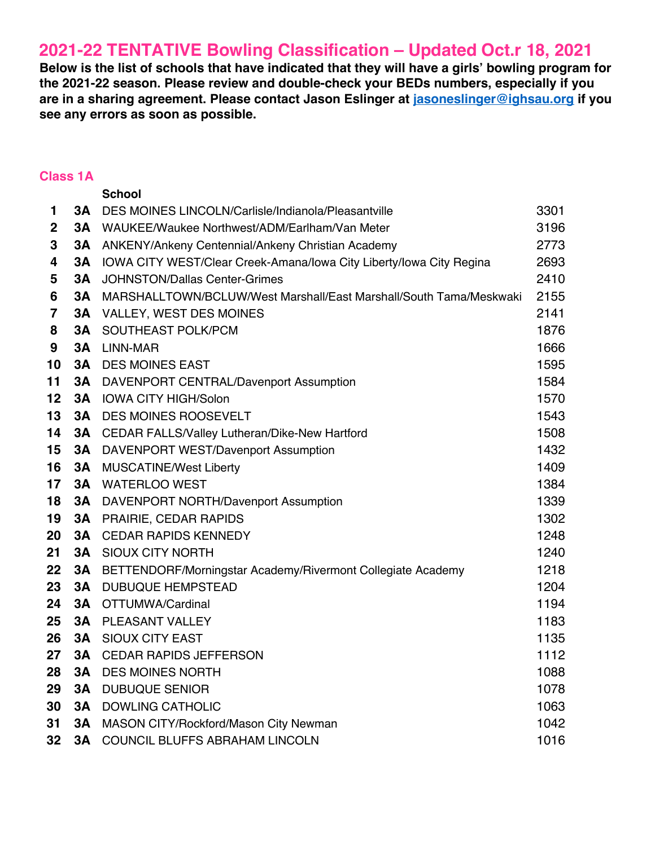## **2021-22 TENTATIVE Bowling Classification – Updated Oct.r 18, 2021**

**Below is the list of schools that have indicated that they will have a girls' bowling program for the 2021-22 season. Please review and double-check your BEDs numbers, especially if you are in a sharing agreement. Please contact Jason Eslinger at jasoneslinger@ighsau.org if you see any errors as soon as possible.** 

## **Class 1A**

|                         |           | <b>School</b>                                                       |      |
|-------------------------|-----------|---------------------------------------------------------------------|------|
| 1                       | 3A        | DES MOINES LINCOLN/Carlisle/Indianola/Pleasantville                 | 3301 |
| 2                       | 3А        | WAUKEE/Waukee Northwest/ADM/Earlham/Van Meter                       | 3196 |
| 3                       | 3A        | ANKENY/Ankeny Centennial/Ankeny Christian Academy                   | 2773 |
| 4                       | 3A        | IOWA CITY WEST/Clear Creek-Amana/Iowa City Liberty/Iowa City Regina | 2693 |
| 5                       | 3A        | <b>JOHNSTON/Dallas Center-Grimes</b>                                | 2410 |
| 6                       | <b>3A</b> | MARSHALLTOWN/BCLUW/West Marshall/East Marshall/South Tama/Meskwaki  | 2155 |
| $\overline{\mathbf{7}}$ | 3A        | <b>VALLEY, WEST DES MOINES</b>                                      | 2141 |
| 8                       | 3A        | SOUTHEAST POLK/PCM                                                  | 1876 |
| 9                       | 3A        | LINN-MAR                                                            | 1666 |
| 10                      | 3A        | <b>DES MOINES EAST</b>                                              | 1595 |
| 11                      | <b>3A</b> | DAVENPORT CENTRAL/Davenport Assumption                              | 1584 |
| 12                      | 3A        | <b>IOWA CITY HIGH/Solon</b>                                         | 1570 |
| 13                      | 3A        | <b>DES MOINES ROOSEVELT</b>                                         | 1543 |
| 14                      | 3Α        | CEDAR FALLS/Valley Lutheran/Dike-New Hartford                       | 1508 |
| 15                      | 3A        | DAVENPORT WEST/Davenport Assumption                                 | 1432 |
| 16                      | <b>3A</b> | <b>MUSCATINE/West Liberty</b>                                       | 1409 |
| 17                      | 3A        | <b>WATERLOO WEST</b>                                                | 1384 |
| 18                      | 3Α        | DAVENPORT NORTH/Davenport Assumption                                | 1339 |
| 19                      | 3A        | <b>PRAIRIE, CEDAR RAPIDS</b>                                        | 1302 |
| 20                      | <b>3A</b> | <b>CEDAR RAPIDS KENNEDY</b>                                         | 1248 |
| 21                      | 3A        | SIOUX CITY NORTH                                                    | 1240 |
| 22                      | <b>3A</b> | BETTENDORF/Morningstar Academy/Rivermont Collegiate Academy         | 1218 |
| 23                      | <b>3A</b> | <b>DUBUQUE HEMPSTEAD</b>                                            | 1204 |
| 24                      | 3A        | OTTUMWA/Cardinal                                                    | 1194 |
| 25                      | 3A        | PLEASANT VALLEY                                                     | 1183 |
| 26                      | 3A        | <b>SIOUX CITY EAST</b>                                              | 1135 |
| 27                      | 3A        | <b>CEDAR RAPIDS JEFFERSON</b>                                       | 1112 |
| 28                      | 3A        | <b>DES MOINES NORTH</b>                                             | 1088 |
| 29                      | 3A        | <b>DUBUQUE SENIOR</b>                                               | 1078 |
| 30                      | <b>3A</b> | <b>DOWLING CATHOLIC</b>                                             | 1063 |
| 31                      | 3A        | MASON CITY/Rockford/Mason City Newman                               | 1042 |
| 32                      | <b>3A</b> | COUNCIL BLUFFS ABRAHAM LINCOLN                                      | 1016 |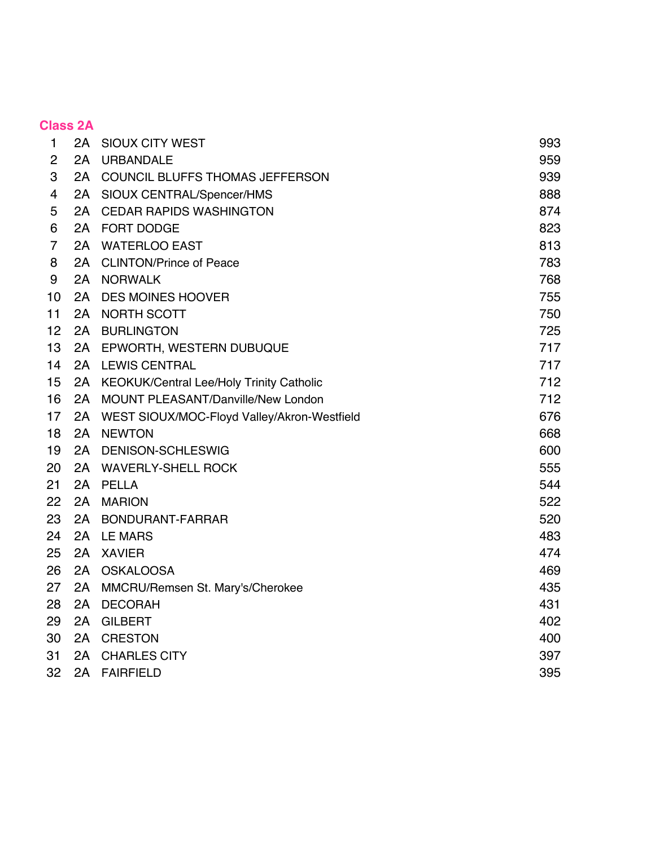|                | <b>Class 2A</b> |                                                 |     |
|----------------|-----------------|-------------------------------------------------|-----|
| $\mathbf{1}$   |                 | 2A SIOUX CITY WEST                              | 993 |
| $\overline{2}$ | 2A              | <b>URBANDALE</b>                                | 959 |
| 3              |                 | 2A COUNCIL BLUFFS THOMAS JEFFERSON              | 939 |
| 4              | 2A              | SIOUX CENTRAL/Spencer/HMS                       | 888 |
| 5              | 2A              | <b>CEDAR RAPIDS WASHINGTON</b>                  | 874 |
| 6              |                 | 2A FORT DODGE                                   | 823 |
| 7              | 2A              | <b>WATERLOO EAST</b>                            | 813 |
| 8              | 2A              | <b>CLINTON/Prince of Peace</b>                  | 783 |
| 9              | 2A              | <b>NORWALK</b>                                  | 768 |
| 10             | 2A              | <b>DES MOINES HOOVER</b>                        | 755 |
| 11             | 2A              | NORTH SCOTT                                     | 750 |
| 12             | 2A              | <b>BURLINGTON</b>                               | 725 |
| 13             | 2A              | EPWORTH, WESTERN DUBUQUE                        | 717 |
| 14             | 2A              | <b>LEWIS CENTRAL</b>                            | 717 |
| 15             | 2A              | <b>KEOKUK/Central Lee/Holy Trinity Catholic</b> | 712 |
| 16             | 2A              | MOUNT PLEASANT/Danville/New London              | 712 |
| 17             | 2A              | WEST SIOUX/MOC-Floyd Valley/Akron-Westfield     | 676 |
| 18             | 2A              | <b>NEWTON</b>                                   | 668 |
| 19             | 2A              | <b>DENISON-SCHLESWIG</b>                        | 600 |
| 20             | 2A              | <b>WAVERLY-SHELL ROCK</b>                       | 555 |
| 21             | 2A              | PELLA                                           | 544 |
| 22             | 2A              | <b>MARION</b>                                   | 522 |
| 23             | 2A              | BONDURANT-FARRAR                                | 520 |
| 24             | 2A              | <b>LE MARS</b>                                  | 483 |
| 25             | 2A              | <b>XAVIER</b>                                   | 474 |
| 26             | 2A              | OSKALOOSA                                       | 469 |
| 27             | 2A              | MMCRU/Remsen St. Mary's/Cherokee                | 435 |
| 28             | 2A              | <b>DECORAH</b>                                  | 431 |
| 29             | 2A              | <b>GILBERT</b>                                  | 402 |
| 30             | 2A              | <b>CRESTON</b>                                  | 400 |
| 31             | 2A              | <b>CHARLES CITY</b>                             | 397 |
| 32             | 2A              | <b>FAIRFIELD</b>                                | 395 |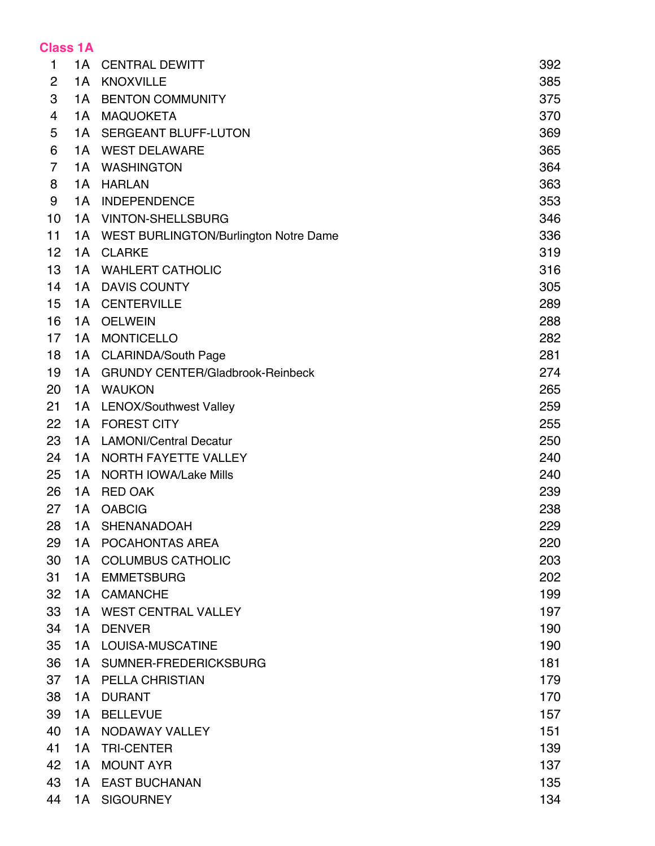## **Class 1A**

| 1  | 1A  | <b>CENTRAL DEWITT</b>                   | 392 |
|----|-----|-----------------------------------------|-----|
| 2  | 1A  | <b>KNOXVILLE</b>                        | 385 |
| 3  | 1A  | <b>BENTON COMMUNITY</b>                 | 375 |
| 4  | 1A  | <b>MAQUOKETA</b>                        | 370 |
| 5  | 1A  | <b>SERGEANT BLUFF-LUTON</b>             | 369 |
| 6  | 1A  | <b>WEST DELAWARE</b>                    | 365 |
| 7  | 1A  | <b>WASHINGTON</b>                       | 364 |
| 8  | 1A  | <b>HARLAN</b>                           | 363 |
| 9  | 1A  | <b>INDEPENDENCE</b>                     | 353 |
| 10 | 1A  | <b>VINTON-SHELLSBURG</b>                | 346 |
| 11 | 1A  | WEST BURLINGTON/Burlington Notre Dame   | 336 |
| 12 | 1A  | <b>CLARKE</b>                           | 319 |
| 13 | 1A  | <b>WAHLERT CATHOLIC</b>                 | 316 |
| 14 | 1A  | <b>DAVIS COUNTY</b>                     | 305 |
| 15 | 1A  | <b>CENTERVILLE</b>                      | 289 |
| 16 | 1A  | <b>OELWEIN</b>                          | 288 |
| 17 | 1A  | <b>MONTICELLO</b>                       | 282 |
| 18 | 1A  | <b>CLARINDA/South Page</b>              | 281 |
| 19 | 1A  | <b>GRUNDY CENTER/Gladbrook-Reinbeck</b> | 274 |
| 20 | 1A  | <b>WAUKON</b>                           | 265 |
| 21 | 1A  | <b>LENOX/Southwest Valley</b>           | 259 |
| 22 | 1A  | <b>FOREST CITY</b>                      | 255 |
| 23 | 1A  | <b>LAMONI/Central Decatur</b>           | 250 |
| 24 | 1A  | NORTH FAYETTE VALLEY                    | 240 |
| 25 | 1А  | <b>NORTH IOWA/Lake Mills</b>            | 240 |
| 26 | 1A  | <b>RED OAK</b>                          | 239 |
| 27 | 1A  | <b>OABCIG</b>                           | 238 |
| 28 | 1A  | SHENANADOAH                             | 229 |
| 29 | 1A  | POCAHONTAS AREA                         | 220 |
| 30 | 1A  | <b>COLUMBUS CATHOLIC</b>                | 203 |
| 31 | 1A  | <b>EMMETSBURG</b>                       | 202 |
| 32 | 1A  | <b>CAMANCHE</b>                         | 199 |
| 33 | 1 A | <b>WEST CENTRAL VALLEY</b>              | 197 |
| 34 | 1A  | <b>DENVER</b>                           | 190 |
| 35 | 1A  | LOUISA-MUSCATINE                        | 190 |
| 36 | 1A  | SUMNER-FREDERICKSBURG                   | 181 |
| 37 | 1A  | <b>PELLA CHRISTIAN</b>                  | 179 |
| 38 | 1A  | <b>DURANT</b>                           | 170 |
| 39 | 1A  | <b>BELLEVUE</b>                         | 157 |
| 40 | 1A  | NODAWAY VALLEY                          | 151 |
| 41 | 1A  | <b>TRI-CENTER</b>                       | 139 |
| 42 | 1A  | <b>MOUNT AYR</b>                        | 137 |
| 43 | 1A  | <b>EAST BUCHANAN</b>                    | 135 |
| 44 | 1A  | <b>SIGOURNEY</b>                        | 134 |